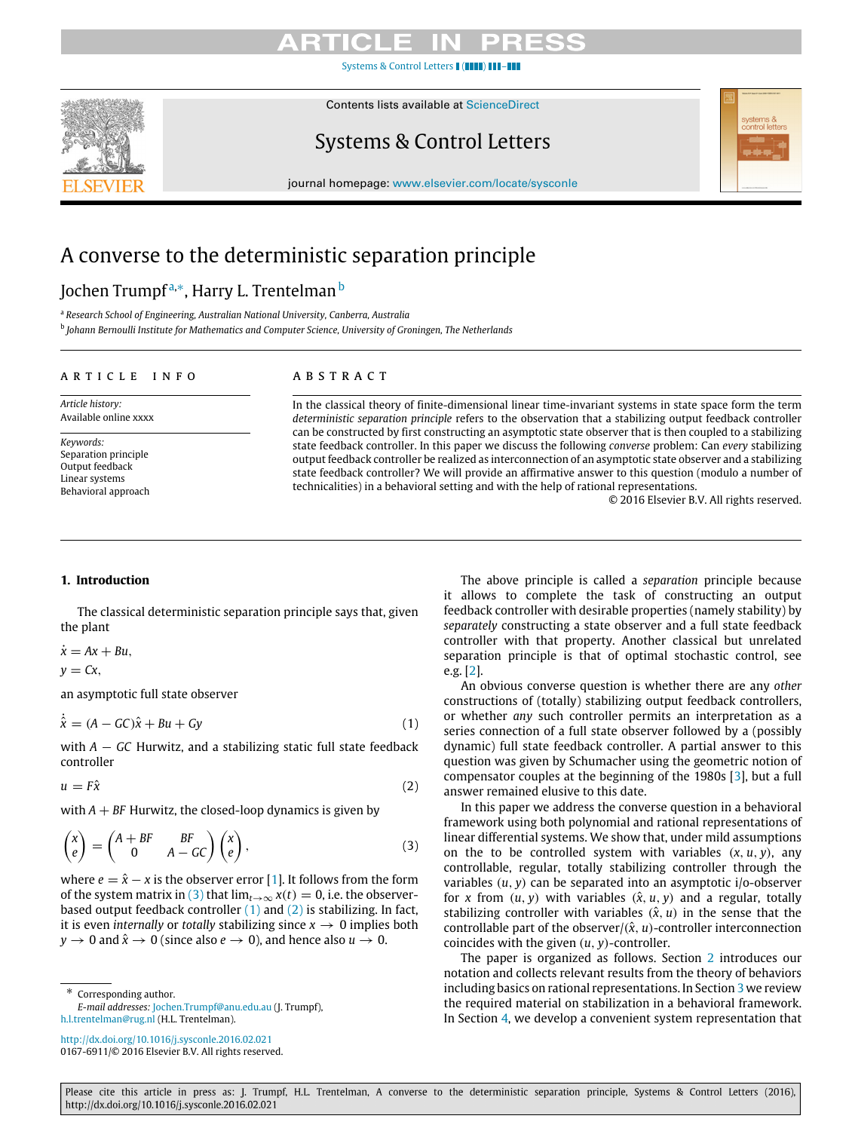# CL.

[Systems & Control Letters](http://dx.doi.org/10.1016/j.sysconle.2016.02.021)  $\blacksquare$  ( $\blacksquare$ 



# Contents lists available at [ScienceDirect](http://www.elsevier.com/locate/sysconle)

# Systems & Control Letters

journal homepage: [www.elsevier.com/locate/sysconle](http://www.elsevier.com/locate/sysconle)

# A converse to the deterministic separation principle

# Jochen Trumpf<sup>[a,](#page-0-0)</sup>\*, Harry L. Trentelman <sup>[b](#page-0-2)</sup>

<span id="page-0-2"></span><span id="page-0-0"></span><sup>a</sup> *Research School of Engineering, Australian National University, Canberra, Australia* b *Johann Bernoulli Institute for Mathematics and Computer Science, University of Groningen, The Netherlands*

# a r t i c l e i n f o

# a b s t r a c t

*Article history:* Available online xxxx

*Keywords:* Separation principle Output feedback Linear systems Behavioral approach In the classical theory of finite-dimensional linear time-invariant systems in state space form the term *deterministic separation principle* refers to the observation that a stabilizing output feedback controller can be constructed by first constructing an asymptotic state observer that is then coupled to a stabilizing state feedback controller. In this paper we discuss the following *converse* problem: Can *every* stabilizing output feedback controller be realized as interconnection of an asymptotic state observer and a stabilizing state feedback controller? We will provide an affirmative answer to this question (modulo a number of technicalities) in a behavioral setting and with the help of rational representations.

© 2016 Elsevier B.V. All rights reserved.

# <span id="page-0-6"></span>**1. Introduction**

The classical deterministic separation principle says that, given the plant

 $\dot{x} = Ax + Bu$ ,

 $y = Cx$ ,

an asymptotic full state observer

$$
\dot{\hat{x}} = (A - GC)\hat{x} + Bu + Gy \tag{1}
$$

with *A* − *GC* Hurwitz, and a stabilizing static full state feedback controller

 $u = F\hat{x}$  (2)

with  $A + BF$  Hurwitz, the closed-loop dynamics is given by

$$
\begin{pmatrix} x \\ e \end{pmatrix} = \begin{pmatrix} A + BF & BF \\ 0 & A - GC \end{pmatrix} \begin{pmatrix} x \\ e \end{pmatrix},
$$
 (3)

where  $e = \hat{x} - x$  is the observer error [\[1\]](#page-7-0). It follows from the form of the system matrix in [\(3\)](#page-0-3) that  $\lim_{t\to\infty} x(t) = 0$ , i.e. the observerbased output feedback controller  $(1)$  and  $(2)$  is stabilizing. In fact, it is even *internally* or *totally* stabilizing since  $x \rightarrow 0$  implies both  $y \to 0$  and  $\hat{x} \to 0$  (since also  $e \to 0$ ), and hence also  $u \to 0$ .

<span id="page-0-1"></span>Corresponding author.

The above principle is called a *separation* principle because it allows to complete the task of constructing an output feedback controller with desirable properties (namely stability) by *separately* constructing a state observer and a full state feedback controller with that property. Another classical but unrelated separation principle is that of optimal stochastic control, see e.g. [\[2\]](#page-7-1).

<span id="page-0-4"></span>An obvious converse question is whether there are any *other* constructions of (totally) stabilizing output feedback controllers, or whether *any* such controller permits an interpretation as a series connection of a full state observer followed by a (possibly dynamic) full state feedback controller. A partial answer to this question was given by Schumacher using the geometric notion of compensator couples at the beginning of the 1980s [\[3\]](#page-7-2), but a full answer remained elusive to this date.

<span id="page-0-5"></span><span id="page-0-3"></span>In this paper we address the converse question in a behavioral framework using both polynomial and rational representations of linear differential systems. We show that, under mild assumptions on the to be controlled system with variables  $(x, u, v)$ , any controllable, regular, totally stabilizing controller through the variables (*u*, *y*) can be separated into an asymptotic i/o-observer for *x* from  $(u, y)$  with variables  $(\hat{x}, u, y)$  and a regular, totally stabilizing controller with variables  $(\hat{x}, u)$  in the sense that the controllable part of the observer/ $(\hat{x}, u)$ -controller interconnection coincides with the given (*u*, *y*)-controller.

The paper is organized as follows. Section [2](#page-1-0) introduces our notation and collects relevant results from the theory of behaviors including basics on rational representations. In Section [3](#page-2-0) we review the required material on stabilization in a behavioral framework. In Section [4,](#page-4-0) we develop a convenient system representation that

*E-mail addresses:* [Jochen.Trumpf@anu.edu.au](mailto:Jochen.Trumpf@anu.edu.au) (J. Trumpf), [h.l.trentelman@rug.nl](mailto:h.l.trentelman@rug.nl) (H.L. Trentelman).

<http://dx.doi.org/10.1016/j.sysconle.2016.02.021> 0167-6911/© 2016 Elsevier B.V. All rights reserved.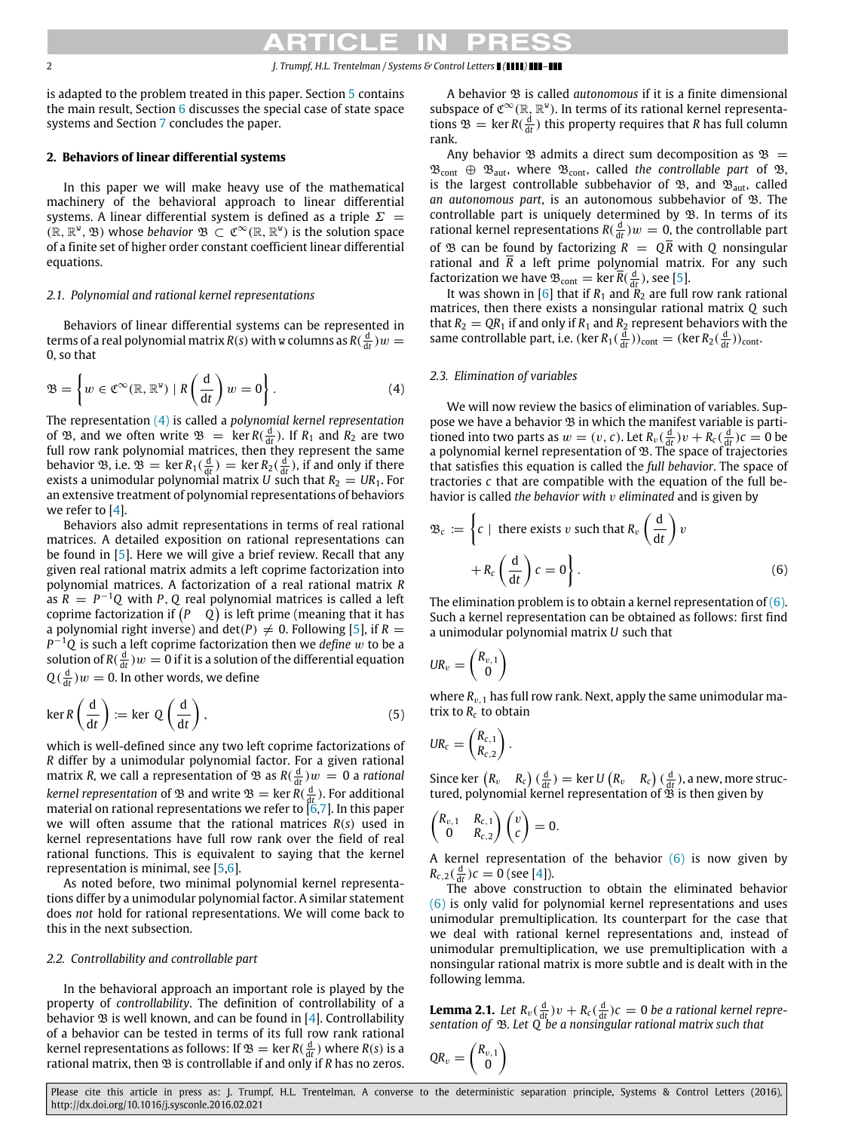is adapted to the problem treated in this paper. Section [5](#page-4-1) contains the main result, Section [6](#page-6-0) discusses the special case of state space systems and Section [7](#page-7-3) concludes the paper.

# <span id="page-1-0"></span>**2. Behaviors of linear differential systems**

In this paper we will make heavy use of the mathematical machinery of the behavioral approach to linear differential systems. A linear differential system is defined as a triple  $\Sigma =$  $(\mathbb{R}, \mathbb{R}^{\mathsf{w}}, \mathfrak{B})$  whose *behavior*  $\mathfrak{B} \subset \mathfrak{C}^{\infty}(\mathbb{R}, \mathbb{R}^{\mathsf{w}})$  is the solution space of a finite set of higher order constant coefficient linear differential equations.

### *2.1. Polynomial and rational kernel representations*

Behaviors of linear differential systems can be represented in terms of a real polynomial matrix  $R(s)$  with w columns as  $R(\frac{d}{dt})w =$ 0, so that

$$
\mathfrak{B} = \left\{ w \in \mathfrak{C}^{\infty}(\mathbb{R}, \mathbb{R}^{\mathsf{w}}) \mid R\left(\frac{\mathrm{d}}{\mathrm{d}t}\right) w = 0 \right\}.
$$
 (4)

The representation [\(4\)](#page-1-1) is called a *polynomial kernel representation* of  $\mathfrak{B}$ , and we often write  $\mathfrak{B} = \ker R(\frac{d}{dt})$ . If  $R_1$  and  $R_2$  are two full row rank polynomial matrices, then they represent the same behavior  $\mathfrak{B}$ , i.e.  $\mathfrak{B} = \ker R_1(\frac{d}{dt}) = \ker R_2(\frac{d}{dt})$ , if and only if there exists a unimodular polynomial matrix *U* such that  $R_2 = UR_1$ . For an extensive treatment of polynomial representations of behaviors we refer to [\[4\]](#page-7-4).

Behaviors also admit representations in terms of real rational matrices. A detailed exposition on rational representations can be found in [\[5\]](#page-7-5). Here we will give a brief review. Recall that any given real rational matrix admits a left coprime factorization into polynomial matrices. A factorization of a real rational matrix *R* as  $\tilde{R} = P^{-1}Q$  with *P*, *Q* real polynomial matrices is called a left coprime factorization if *P Q* is left prime (meaning that it has a polynomial right inverse) and  $det(P) \neq 0$ . Following [\[5\]](#page-7-5), if  $R =$ *P* <sup>−</sup><sup>1</sup>*Q* is such a left coprime factorization then we *define* w to be a solution of  $R(\frac{\text{d}}{\text{d}t})w = 0$  if it is a solution of the differential equation  $Q(\frac{d}{dt})w = 0$ . In other words, we define

$$
\ker R\left(\frac{\mathrm{d}}{\mathrm{d}t}\right) := \ker \ Q\left(\frac{\mathrm{d}}{\mathrm{d}t}\right),\tag{5}
$$

which is well-defined since any two left coprime factorizations of *R* differ by a unimodular polynomial factor. For a given rational matrix *R*, we call a representation of  $\mathfrak B$  as  $R(\frac{d}{dt})w=0$  a rational *kernel representation* of  $\mathfrak{B}$  and write  $\mathfrak{B} = \ker R(\frac{d}{dt})$ . For additional material on rational representations we refer to  $\left[\overline{6},7\right]$ . In this paper we will often assume that the rational matrices *R*(*s*) used in kernel representations have full row rank over the field of real rational functions. This is equivalent to saying that the kernel representation is minimal, see [\[5,](#page-7-5)[6\]](#page-7-6).

As noted before, two minimal polynomial kernel representations differ by a unimodular polynomial factor. A similar statement does *not* hold for rational representations. We will come back to this in the next subsection.

### *2.2. Controllability and controllable part*

In the behavioral approach an important role is played by the property of *controllability*. The definition of controllability of a behavior  $\mathfrak B$  is well known, and can be found in [\[4\]](#page-7-4). Controllability of a behavior can be tested in terms of its full row rank rational kernel representations as follows: If  $\mathfrak{B} = \ker R(\frac{d}{dt})$  where  $R(s)$  is a rational matrix, then  $\mathfrak B$  is controllable if and only if *R* has no zeros.

A behavior B is called *autonomous* if it is a finite dimensional subspace of  $\mathfrak{C}^{\infty}(\mathbb{R},\mathbb{R}^{\mathbb{V}})$ . In terms of its rational kernel representations  $\mathfrak{B} = \ker R(\frac{d}{dt})$  this property requires that *R* has full column rank.

Any behavior  $\mathfrak B$  admits a direct sum decomposition as  $\mathfrak B =$  $\mathfrak{B}_{cont} \oplus \mathfrak{B}_{aut}$ , where  $\mathfrak{B}_{cont}$ , called the controllable part of  $\mathfrak{B}$ , is the largest controllable subbehavior of  $\mathfrak{B}$ , and  $\mathfrak{B}_{\text{aut}}$ , called *an autonomous part*, is an autonomous subbehavior of B. The controllable part is uniquely determined by  $\mathfrak B$ . In terms of its rational kernel representations  $R(\frac{d}{dt})w = 0$ , the controllable part of  $\mathfrak{B}$  can be found by factorizing  $R = Q\overline{R}$  with  $Q$  nonsingular rational and  $\overline{R}$  a left prime polynomial matrix. For any such factorization we have  $\mathfrak{B}_{\text{cont}} = \ker \overline{R}(\frac{d}{dt})$ , see [\[5\]](#page-7-5).

It was shown in  $[6]$  that if  $R_1$  and  $\overline{R}_2$  are full row rank rational matrices, then there exists a nonsingular rational matrix *Q* such that  $R_2 = QR_1$  if and only if  $R_1$  and  $R_2$  represent behaviors with the same controllable part, i.e.  $(\ker R_1(\frac{d}{dt}))_{\text{cont}} = (\ker R_2(\frac{d}{dt}))_{\text{cont}}$ .

### <span id="page-1-3"></span><span id="page-1-1"></span>*2.3. Elimination of variables*

We will now review the basics of elimination of variables. Suppose we have a behavior  $\mathfrak B$  in which the manifest variable is partitioned into two parts as  $w = (v, c)$ . Let  $R_v(\frac{d}{dt})v + R_c(\frac{d}{dt})c = 0$  be a polynomial kernel representation of  $\mathfrak{B}$ . The space of trajectories that satisfies this equation is called the *full behavior*. The space of tractories *c* that are compatible with the equation of the full behavior is called *the behavior with* v *eliminated* and is given by

<span id="page-1-2"></span>
$$
\mathfrak{B}_{c} := \left\{ c \mid \text{ there exists } v \text{ such that } R_{v} \left( \frac{d}{dt} \right) v + R_{c} \left( \frac{d}{dt} \right) c = 0 \right\}.
$$
\n
$$
(6)
$$

The elimination problem is to obtain a kernel representation of  $(6)$ . Such a kernel representation can be obtained as follows: first find a unimodular polynomial matrix *U* such that

$$
UR_v = \begin{pmatrix} R_{v,1} \\ 0 \end{pmatrix}
$$

where  $R_{v,1}$  has full row rank. Next, apply the same unimodular matrix to  $R_c$  to obtain

$$
UR_c = \begin{pmatrix} R_{c,1} \\ R_{c,2} \end{pmatrix}.
$$

Since ker  $(R_v \ R_c)$  ( $\frac{d}{dt}$ ) = ker *U*  $(R_v \ R_c)$  ( $\frac{d}{dt}$ ), a new, more structured, polynomial kernel representation of  $\mathfrak B$  is then given by

$$
\begin{pmatrix} R_{v,1} & R_{c,1} \\ 0 & R_{c,2} \end{pmatrix} \begin{pmatrix} v \\ c \end{pmatrix} = 0.
$$

A kernel representation of the behavior  $(6)$  is now given by  $R_{c,2}(\frac{d}{dt})c = 0$  (see [\[4\]](#page-7-4)).

The above construction to obtain the eliminated behavior [\(6\)](#page-1-2) is only valid for polynomial kernel representations and uses unimodular premultiplication. Its counterpart for the case that we deal with rational kernel representations and, instead of unimodular premultiplication, we use premultiplication with a nonsingular rational matrix is more subtle and is dealt with in the following lemma.

<span id="page-1-4"></span>**Lemma 2.1.** Let  $R_v(\frac{d}{dt})v + R_c(\frac{d}{dt})c = 0$  be a rational kernel repre*sentation of* B*. Let Q be a nonsingular rational matrix such that*

$$
\textit{QR}_v = \begin{pmatrix} R_{v,1} \\ 0 \end{pmatrix}
$$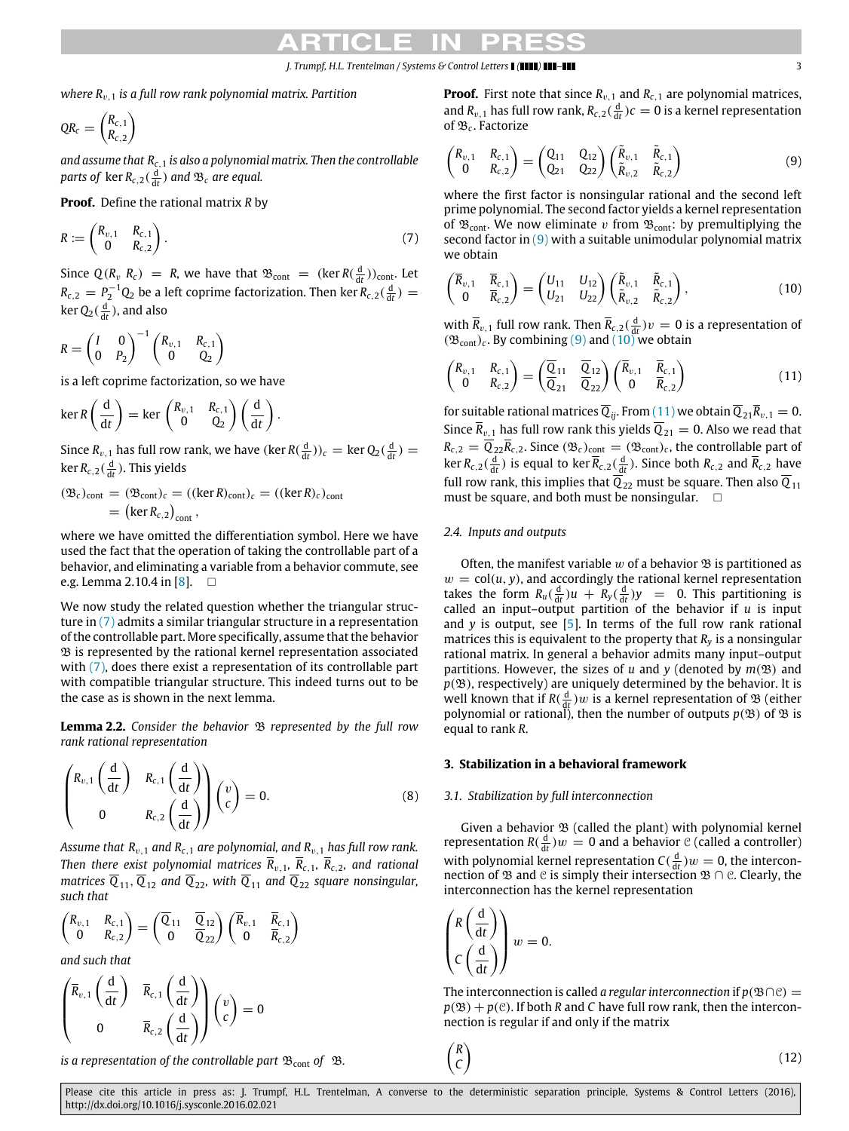*where R<sub>v,1</sub> is a full row rank polynomial matrix. Partition* 

$$
QR_c = \begin{pmatrix} R_{c,1} \\ R_{c,2} \end{pmatrix}
$$

*and assume that Rc*,<sup>1</sup> *is also a polynomial matrix. Then the controllable* parts of  $\text{ker } R_{c,2}(\frac{d}{dt})$  and  $\mathfrak{B}_c$  are equal.

**Proof.** Define the rational matrix *R* by

$$
R := \begin{pmatrix} R_{v,1} & R_{c,1} \\ 0 & R_{c,2} \end{pmatrix} . \tag{7}
$$

Since  $Q(R_v \, R_c) = R$ , we have that  $\mathfrak{B}_{\text{cont}} = (\ker R(\frac{d}{dt}))_{\text{cont}}$ . Let  $R_{c,2} = P_2^{-1} Q_2$  be a left coprime factorization. Then ker  $R_{c,2}(\frac{d}{dt}) =$ ker  $Q_2(\frac{d}{dt})$ , and also

$$
R = \begin{pmatrix} I & 0 \\ 0 & P_2 \end{pmatrix}^{-1} \begin{pmatrix} R_{v,1} & R_{c,1} \\ 0 & Q_2 \end{pmatrix}
$$

is a left coprime factorization, so we have

$$
\ker R\left(\frac{\mathrm{d}}{\mathrm{d}t}\right) = \ker \begin{pmatrix} R_{v,1} & R_{c,1} \\ 0 & Q_2 \end{pmatrix} \left(\frac{\mathrm{d}}{\mathrm{d}t}\right).
$$

Since  $R_{v,1}$  has full row rank, we have  $(\ker R(\frac{d}{dt}))_c = \ker Q_2(\frac{d}{dt}) =$ ker  $R_{c,2}(\frac{d}{dt})$ . This yields

$$
(\mathfrak{B}_c)_{\text{cont}} = (\mathfrak{B}_{\text{cont}})_c = ((\ker R)_{\text{cont}})_c = ((\ker R)_c)_{\text{cont}}
$$
  
= (\ker R\_{c,2})\_{\text{cont}},

where we have omitted the differentiation symbol. Here we have used the fact that the operation of taking the controllable part of a behavior, and eliminating a variable from a behavior commute, see e.g. Lemma 2.10.4 in [\[8\]](#page-7-8).  $\Box$ 

We now study the related question whether the triangular structure in [\(7\)](#page-2-1) admits a similar triangular structure in a representation of the controllable part. More specifically, assume that the behavior B is represented by the rational kernel representation associated with [\(7\),](#page-2-1) does there exist a representation of its controllable part with compatible triangular structure. This indeed turns out to be the case as is shown in the next lemma.

<span id="page-2-6"></span>**Lemma 2.2.** *Consider the behavior*  $\mathcal{B}$  *represented by the full row rank rational representation*

$$
\begin{pmatrix} R_{v,1} \left( \frac{d}{dt} \right) & R_{c,1} \left( \frac{d}{dt} \right) \\ 0 & R_{c,2} \left( \frac{d}{dt} \right) \end{pmatrix} \begin{pmatrix} v \\ c \end{pmatrix} = 0. \tag{8}
$$

*Assume that R*v,<sup>1</sup> *and Rc*,<sup>1</sup> *are polynomial, and R*v,<sup>1</sup> *has full row rank. Then there exist polynomial matrices*  $\overline{R}_{v,1}$ ,  $\overline{R}_{c,1}$ ,  $\overline{R}_{c,2}$ , and rational *matrices*  $\overline{Q}_{11}$ ,  $\overline{Q}_{12}$  *and*  $\overline{Q}_{22}$ *, with*  $\overline{Q}_{11}$  *and*  $\overline{Q}_{22}$  *square nonsingular, such that*

$$
\begin{pmatrix} R_{v,1} & R_{c,1} \\ 0 & R_{c,2} \end{pmatrix} = \begin{pmatrix} \overline{Q}_{11} & \overline{Q}_{12} \\ 0 & \overline{Q}_{22} \end{pmatrix} \begin{pmatrix} \overline{R}_{v,1} & \overline{R}_{c,1} \\ 0 & \overline{R}_{c,2} \end{pmatrix}
$$

*and such that*

$$
\begin{pmatrix} \overline{R}_{v,1} \left( \frac{d}{dt} \right) & \overline{R}_{c,1} \left( \frac{d}{dt} \right) \\ 0 & \overline{R}_{c,2} \left( \frac{d}{dt} \right) \end{pmatrix} {v \choose c} = 0
$$

*is a representation of the controllable part*  $\mathcal{B}_{\text{cont}}$  of  $\mathcal{B}$ *.* 

**Proof.** First note that since  $R_{v,1}$  and  $R_{c,1}$  are polynomial matrices, and  $R_{v,1}$  has full row rank,  $R_{c,2}(\frac{d}{dt})c = 0$  is a kernel representation of B*<sup>c</sup>* . Factorize

<span id="page-2-2"></span>
$$
\begin{pmatrix} R_{v,1} & R_{c,1} \\ 0 & R_{c,2} \end{pmatrix} = \begin{pmatrix} Q_{11} & Q_{12} \\ Q_{21} & Q_{22} \end{pmatrix} \begin{pmatrix} \tilde{R}_{v,1} & \tilde{R}_{c,1} \\ \tilde{R}_{v,2} & \tilde{R}_{c,2} \end{pmatrix}
$$
(9)

<span id="page-2-1"></span>where the first factor is nonsingular rational and the second left prime polynomial. The second factor yields a kernel representation of  $\mathfrak{B}_{\text{cont}}$ . We now eliminate v from  $\mathfrak{B}_{\text{cont}}$ : by premultiplying the second factor in  $(9)$  with a suitable unimodular polynomial matrix we obtain

<span id="page-2-3"></span>
$$
\begin{pmatrix} \overline{R}_{v,1} & \overline{R}_{c,1} \\ 0 & \overline{R}_{c,2} \end{pmatrix} = \begin{pmatrix} U_{11} & U_{12} \\ U_{21} & U_{22} \end{pmatrix} \begin{pmatrix} \tilde{R}_{v,1} & \tilde{R}_{c,1} \\ \tilde{R}_{v,2} & \tilde{R}_{c,2} \end{pmatrix},
$$
\n(10)

with  $\overline{R}_{v,1}$  full row rank. Then  $\overline{R}_{c,2}(\frac{d}{dt})v = 0$  is a representation of  $(\mathfrak{B}_{\text{cont}})_c$ . By combining [\(9\)](#page-2-2) and [\(10\)](#page-2-3) we obtain

<span id="page-2-4"></span>
$$
\begin{pmatrix} R_{v,1} & R_{c,1} \\ 0 & R_{c,2} \end{pmatrix} = \begin{pmatrix} \overline{Q}_{11} & \overline{Q}_{12} \\ \overline{Q}_{21} & \overline{Q}_{22} \end{pmatrix} \begin{pmatrix} \overline{R}_{v,1} & \overline{R}_{c,1} \\ 0 & \overline{R}_{c,2} \end{pmatrix} \tag{11}
$$

for suitable rational matrices  $\overline{Q}_{ij}$ . From [\(11\)](#page-2-4) we obtain  $\overline{Q}_{21}\overline{R}_{v,1} = 0$ . Since  $\bar{R}_{v,1}$  has full row rank this yields  $\bar{Q}_{21} = 0$ . Also we read that  $R_{c,2} = \overline{Q}_{22} \overline{R}_{c,2}$ . Since  $(\mathfrak{B}_c)_{\text{cont}} = (\mathfrak{B}_{\text{cont}})_c$ , the controllable part of  $\ker R_{c,2}(\frac{d}{dt})$  is equal to ker  $\overline{R}_{c,2}(\frac{d}{dt})$ . Since both  $R_{c,2}$  and  $\overline{R}_{c,2}$  have full row rank, this implies that  $\overline{Q}_{22}$  must be square. Then also  $\overline{Q}_{11}$ must be square, and both must be nonsingular.  $\square$ 

# *2.4. Inputs and outputs*

Often, the manifest variable  $w$  of a behavior  $\mathfrak B$  is partitioned as  $w = \text{col}(u, y)$ , and accordingly the rational kernel representation takes the form  $R_u(\frac{d}{dt})u + R_y(\frac{d}{dt})y = 0$ . This partitioning is called an input-output partition of the behavior if  $u$  is input and *y* is output, see [\[5\]](#page-7-5). In terms of the full row rank rational matrices this is equivalent to the property that  $R<sub>v</sub>$  is a nonsingular rational matrix. In general a behavior admits many input–output partitions. However, the sizes of  $u$  and  $y$  (denoted by  $m(\mathfrak{B})$  and  $p(\mathfrak{B})$ , respectively) are uniquely determined by the behavior. It is well known that if  $R(\frac{d}{dt})w$  is a kernel representation of  $\mathfrak B$  (either polynomial or rational), then the number of outputs  $p(\mathcal{B})$  of  $\mathcal B$  is equal to rank *R*.

# <span id="page-2-0"></span>**3. Stabilization in a behavioral framework**

# *3.1. Stabilization by full interconnection*

Given a behavior  $\mathfrak B$  (called the plant) with polynomial kernel representation  $R(\frac{d}{dt})w = 0$  and a behavior  $\mathcal{C}$  (called a controller) with polynomial kernel representation  $C(\frac{d}{dt})w = 0$ , the interconnection of  $\mathfrak{B}$  and  $\mathfrak{C}$  is simply their intersection  $\mathfrak{B} \cap \mathfrak{C}$ . Clearly, the interconnection has the kernel representation

$$
\begin{pmatrix} R\left(\frac{d}{dt}\right) \\ C\left(\frac{d}{dt}\right) \end{pmatrix} w = 0.
$$

The interconnection is called *a regular interconnection* if  $p(\mathcal{B} \cap \mathcal{C}) =$  $p(\mathfrak{B}) + p(\mathfrak{C})$ . If both *R* and *C* have full row rank, then the interconnection is regular if and only if the matrix

<span id="page-2-5"></span>(12)

Please cite this article in press as: J. Trumpf, H.L. Trentelman, A converse to the deterministic separation principle, Systems & Control Letters (2016), http://dx.doi.org/10.1016/j.sysconle.2016.02.021

 *R C*  $\setminus$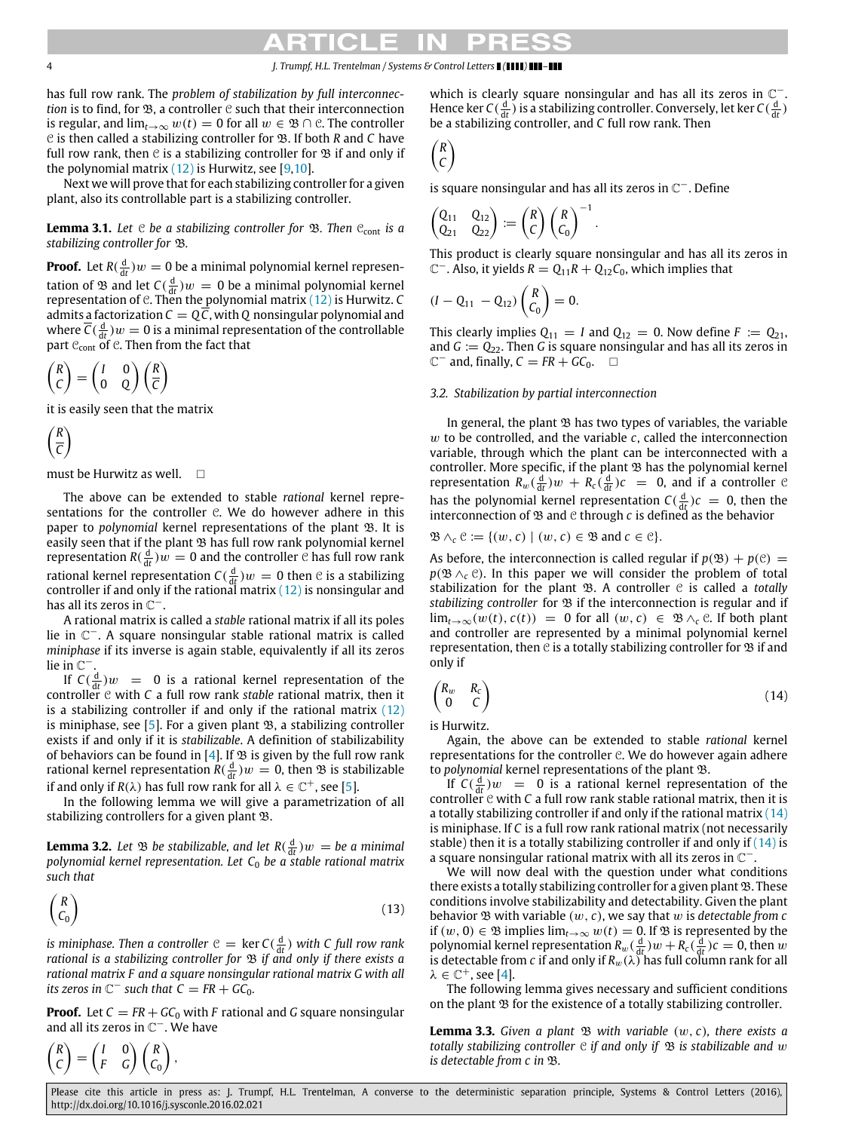has full row rank. The *problem of stabilization by full interconnection* is to find, for  $\mathfrak{B}$ , a controller  $\mathfrak{C}$  such that their interconnection is regular, and  $\lim_{t\to\infty} w(t) = 0$  for all  $w \in \mathfrak{B} \cap \mathfrak{C}$ . The controller C is then called a stabilizing controller for B. If both *R* and *C* have full row rank, then  $\mathfrak C$  is a stabilizing controller for  $\mathfrak B$  if and only if the polynomial matrix  $(12)$  is Hurwitz, see [\[9](#page-7-9)[,10\]](#page-7-10).

Next we will prove that for each stabilizing controller for a given plant, also its controllable part is a stabilizing controller.

<span id="page-3-3"></span>**Lemma 3.1.** Let C be a stabilizing controller for  $\mathcal{B}$ . Then C<sub>cont</sub> is a *stabilizing controller for* B*.*

**Proof.** Let  $R(\frac{d}{dt})w = 0$  be a minimal polynomial kernel representation of  $\mathfrak B$  and let  $C(\frac{d}{dt})w = 0$  be a minimal polynomial kernel representation of C. Then the polynomial matrix [\(12\)](#page-2-5) is Hurwitz. *C* admits a factorization  $C = Q\overline{C}$ , with Q nonsingular polynomial and where  $\overline{C}(\frac{d}{dt})w = 0$  is a minimal representation of the controllable part  $C_{\text{cont}}$  of  $C$ . Then from the fact that

$$
\begin{pmatrix} R \\ C \end{pmatrix} = \begin{pmatrix} I & 0 \\ 0 & Q \end{pmatrix} \begin{pmatrix} R \\ \overline{C} \end{pmatrix}
$$

it is easily seen that the matrix

$$
\left(\frac{R}{C}\right)
$$

must be Hurwitz as well.  $\square$ 

The above can be extended to stable *rational* kernel representations for the controller  $C$ . We do however adhere in this paper to *polynomial* kernel representations of the plant  $\mathfrak{B}$ . It is easily seen that if the plant  $\mathfrak B$  has full row rank polynomial kernel representation  $R(\frac{d}{dt})w = 0$  and the controller  $\mathcal C$  has full row rank rational kernel representation  $C(\frac{d}{dt})w = 0$  then  $\mathcal C$  is a stabilizing controller if and only if the rational matrix  $(12)$  is nonsingular and has all its zeros in  $\check{\mathbb C}^-$ .

A rational matrix is called a *stable* rational matrix if all its poles lie in C <sup>−</sup>. A square nonsingular stable rational matrix is called *miniphase* if its inverse is again stable, equivalently if all its zeros lie in  $\mathbb{C}^-$ .

If  $C(\frac{d}{dt})w = 0$  is a rational kernel representation of the controller  $e$  with  $C$  a full row rank *stable* rational matrix, then it is a stabilizing controller if and only if the rational matrix  $(12)$ is miniphase, see [\[5\]](#page-7-5). For a given plant  $\mathfrak{B}$ , a stabilizing controller exists if and only if it is *stabilizable*. A definition of stabilizability of behaviors can be found in [\[4\]](#page-7-4). If  $\mathfrak B$  is given by the full row rank rational kernel representation  $R(\frac{d}{dt})w = 0$ , then  $\mathfrak B$  is stabilizable if and only if  $R(\lambda)$  has full row rank for all  $\lambda \in \mathbb{C}^+$ , see [\[5\]](#page-7-5).

In the following lemma we will give a parametrization of all stabilizing controllers for a given plant  $\mathfrak{B}.$ 

<span id="page-3-4"></span>**Lemma 3.2.** Let  $\mathfrak{B}$  be stabilizable, and let  $R(\frac{d}{dt})w = be$  a minimal *polynomial kernel representation. Let C*<sup>0</sup> *be a stable rational matrix such that*

$$
\begin{pmatrix} R \\ C_0 \end{pmatrix} \tag{13}
$$

*is miniphase. Then a controller*  $C = \ker C(\frac{d}{dt})$  *with C full row rank rational is a stabilizing controller for*  $\mathcal B$  *if and only if there exists a rational matrix F and a square nonsingular rational matrix G with all its zeros in*  $\mathbb{C}^-$  *such that*  $\mathcal{C} = \mathit{FR} + \mathit{GC}_0$ *.* 

**Proof.** Let  $C = FR + GC_0$  with F rational and G square nonsingular and all its zeros in  $\mathbb{C}^-$ . We have

$$
\begin{pmatrix} R \\ C \end{pmatrix} = \begin{pmatrix} I & 0 \\ F & G \end{pmatrix} \begin{pmatrix} R \\ C_0 \end{pmatrix},
$$

which is clearly square nonsingular and has all its zeros in  $\mathbb{C}^-$ . Hence ker  $C(\frac{d}{dt})$  is a stabilizing controller. Conversely, let ker  $C(\frac{d}{dt})$ be a stabilizing controller, and *C* full row rank. Then

$$
\begin{pmatrix} R \\ C \end{pmatrix}
$$

is square nonsingular and has all its zeros in  $\mathbb{C}^-$ . Define

$$
\begin{pmatrix} Q_{11} & Q_{12} \\ Q_{21} & Q_{22} \end{pmatrix} := \begin{pmatrix} R \\ C \end{pmatrix} \begin{pmatrix} R \\ C_0 \end{pmatrix}^{-1}
$$

This product is clearly square nonsingular and has all its zeros in  $\mathbb{C}^{-}$ . Also, it yields  $R = Q_{11}R + Q_{12}C_0$ , which implies that

.

$$
(I - Q_{11} - Q_{12})\begin{pmatrix} R \\ C_0 \end{pmatrix} = 0.
$$

This clearly implies  $Q_{11} = I$  and  $Q_{12} = 0$ . Now define  $F := Q_{21}$ , and *G* := *Q*22. Then *G* is square nonsingular and has all its zeros in  $\mathbb{C}^-$  and, finally,  $C = FR + GC_0$ .  $\Box$ 

# <span id="page-3-2"></span>*3.2. Stabilization by partial interconnection*

In general, the plant  $\mathfrak B$  has two types of variables, the variable w to be controlled, and the variable *c*, called the interconnection variable, through which the plant can be interconnected with a controller. More specific, if the plant  $\mathfrak B$  has the polynomial kernel representation  $R_w(\frac{d}{dt})w + R_c(\frac{d}{dt})c = 0$ , and if a controller  $\Theta$ has the polynomial kernel representation  $C(\frac{d}{dt})c = 0$ , then the interconnection of  $\mathfrak B$  and  $\mathfrak C$  through  $c$  is defined as the behavior

 $\mathfrak{B} \wedge_c \mathfrak{C} := \{ (w, c) \mid (w, c) \in \mathfrak{B} \text{ and } c \in \mathfrak{C} \}.$ 

As before, the interconnection is called regular if  $p(\mathfrak{B}) + p(\mathfrak{C}) =$  $p(\mathfrak{B} \wedge_{c} \mathfrak{C})$ . In this paper we will consider the problem of total stabilization for the plant  $\mathfrak{B}$ . A controller  $\mathfrak C$  is called a *totally stabilizing controller* for  $\mathfrak B$  if the interconnection is regular and if lim<sub>*t*→∞</sub>(w(*t*), *c*(*t*)) = 0 for all (w, *c*)  $\in \mathfrak{B} \wedge_c \mathfrak{C}$ . If both plant and controller are represented by a minimal polynomial kernel representation, then  $e$  is a totally stabilizing controller for  $\mathfrak B$  if and only if

<span id="page-3-0"></span>
$$
\begin{pmatrix} R_w & R_c \\ 0 & C \end{pmatrix} \tag{14}
$$

is Hurwitz.

Again, the above can be extended to stable *rational* kernel representations for the controller  $e$ . We do however again adhere to *polynomial* kernel representations of the plant B.

If  $C(\frac{d}{dt})w = 0$  is a rational kernel representation of the controller  $\mathfrak c$  with  $\mathfrak c$  a full row rank stable rational matrix, then it is a totally stabilizing controller if and only if the rational matrix [\(14\)](#page-3-0) is miniphase. If *C* is a full row rank rational matrix (not necessarily stable) then it is a totally stabilizing controller if and only if  $(14)$  is a square nonsingular rational matrix with all its zeros in  $\mathbb{C}^-$ .

We will now deal with the question under what conditions there exists a totally stabilizing controller for a given plant  $\mathfrak{B}$ . These conditions involve stabilizability and detectability. Given the plant behavior  $\mathfrak B$  with variable  $(w, c)$ , we say that  $w$  is *detectable from c* if  $(w, 0)$  ∈  $\mathfrak{B}$  implies  $\lim_{t\to\infty} w(t) = 0$ . If  $\mathfrak{B}$  is represented by the polynomial kernel representation  $R_w(\frac{d}{dt})w + R_c(\frac{d}{dt})c = 0$ , then w is detectable from *c* if and only if  $R_w(\lambda)$  has full column rank for all  $\lambda \in \mathbb{C}^+$ , see [\[4\]](#page-7-4).

The following lemma gives necessary and sufficient conditions on the plant  $\mathfrak B$  for the existence of a totally stabilizing controller.

<span id="page-3-1"></span>**Lemma 3.3.** Given a plant  $\mathfrak{B}$  with variable  $(w, c)$ , there exists a *totally stabilizing controller*  $\mathfrak C$  *if and only if*  $\mathfrak B$  *is stabilizable and* w *is detectable from c in* B*.*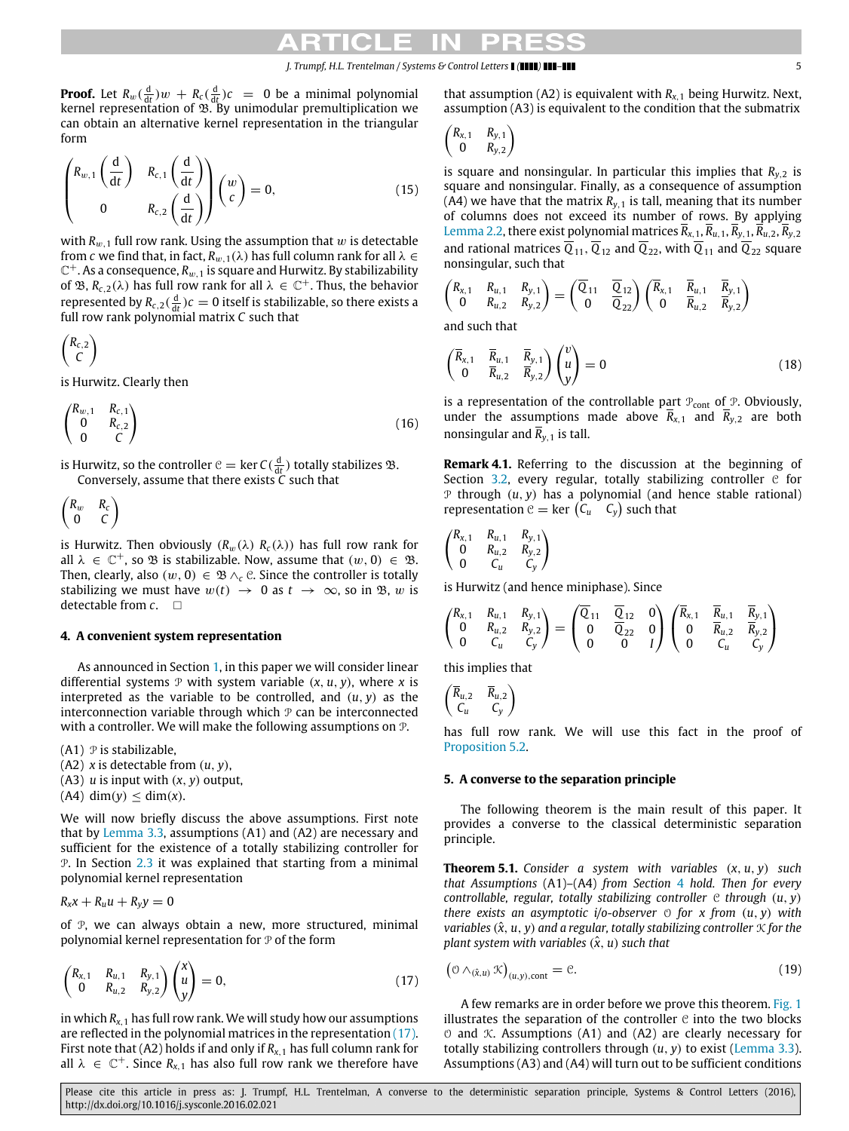**Proof.** Let  $R_w(\frac{d}{dt})w + R_c(\frac{d}{dt})c = 0$  be a minimal polynomial kernel representation of  $\mathfrak{B}$ . By unimodular premultiplication we can obtain an alternative kernel representation in the triangular form

$$
\begin{pmatrix} R_{w,1} \left( \frac{d}{dt} \right) & R_{c,1} \left( \frac{d}{dt} \right) \\ 0 & R_{c,2} \left( \frac{d}{dt} \right) \end{pmatrix} \begin{pmatrix} w \\ c \end{pmatrix} = 0, \tag{15}
$$

with  $R_{w,1}$  full row rank. Using the assumption that w is detectable from *c* we find that, in fact,  $R_{w,1}(\lambda)$  has full column rank for all  $\lambda \in$  $\mathbb{C}^+$ . As a consequence,  $R_{w,1}$  is square and Hurwitz. By stabilizability of  $\mathfrak{B}, R_{c,2}(\lambda)$  has full row rank for all  $\lambda \in \mathbb{C}^+$ . Thus, the behavior represented by  $R_{c,2}(\frac{d}{dt})c = 0$  itself is stabilizable, so there exists a full row rank polynomial matrix *C* such that

$$
\begin{pmatrix} R_{c,2} \\ C \end{pmatrix}
$$

is Hurwitz. Clearly then

$$
\begin{pmatrix} R_{w,1} & R_{c,1} \\ 0 & R_{c,2} \\ 0 & C \end{pmatrix} \tag{16}
$$

is Hurwitz, so the controller  $C = \ker C(\frac{d}{dt})$  totally stabilizes  $\mathfrak{B}$ . Conversely, assume that there exists *C* such that

$$
\begin{pmatrix} R_w & R_c \\ 0 & C \end{pmatrix}
$$

is Hurwitz. Then obviously  $(R_w(\lambda) R_c(\lambda))$  has full row rank for all  $\lambda \in \mathbb{C}^+$ , so  $\mathfrak B$  is stabilizable. Now, assume that  $(w, 0) \in \mathfrak B$ . Then, clearly, also  $(w, 0) \in \mathfrak{B} \wedge_{\mathfrak{C}} \mathfrak{C}$ . Since the controller is totally stabilizing we must have  $w(t) \rightarrow 0$  as  $t \rightarrow \infty$ , so in  $\mathfrak{B}$ , w is detectable from *c*.

### <span id="page-4-0"></span>**4. A convenient system representation**

As announced in Section [1,](#page-0-6) in this paper we will consider linear differential systems  $P$  with system variable  $(x, u, y)$ , where x is interpreted as the variable to be controlled, and  $(u, y)$  as the interconnection variable through which  $P$  can be interconnected with a controller. We will make the following assumptions on P.

 $(A1)$   $\mathcal P$  is stabilizable,

- (A2) *x* is detectable from (*u*, *y*),
- (A3) *u* is input with (*x*, *y*) output,
- $(A4)$  dim(*y*)  $\leq$  dim(*x*).

We will now briefly discuss the above assumptions. First note that by [Lemma 3.3,](#page-3-1) assumptions (A1) and (A2) are necessary and sufficient for the existence of a totally stabilizing controller for P. In Section [2.3](#page-1-3) it was explained that starting from a minimal polynomial kernel representation

 $R_{x}x + R_{u}u + R_{y}y = 0$ 

of P, we can always obtain a new, more structured, minimal polynomial kernel representation for  $P$  of the form

$$
\begin{pmatrix} R_{x,1} & R_{u,1} & R_{y,1} \\ 0 & R_{u,2} & R_{y,2} \end{pmatrix} \begin{pmatrix} x \\ u \\ y \end{pmatrix} = 0, \tag{17}
$$

in which  $R_{x,1}$  has full row rank. We will study how our assumptions are reflected in the polynomial matrices in the representation [\(17\).](#page-4-2) First note that (A2) holds if and only if  $R_{x,1}$  has full column rank for all  $\lambda \in \mathbb{C}^+$ . Since  $R_{\lambda,1}$  has also full row rank we therefore have

that assumption (A2) is equivalent with  $R_{x,1}$  being Hurwitz. Next, assumption (A3) is equivalent to the condition that the submatrix

$$
\begin{pmatrix} R_{x,1} & R_{y,1} \\ 0 & R_{y,2} \end{pmatrix}
$$

is square and nonsingular. In particular this implies that  $R_{v,2}$  is square and nonsingular. Finally, as a consequence of assumption (A4) we have that the matrix  $R_{v,1}$  is tall, meaning that its number of columns does not exceed its number of rows. By applying [Lemma 2.2,](#page-2-6) there exist polynomial matrices  $\overline{R}_{x,1}, \overline{R}_{u,1}, \overline{R}_{y,1}, \overline{R}_{u,2}, \overline{R}_{y,2}$ and rational matrices  $\overline{Q}_{11}$ ,  $\overline{Q}_{12}$  and  $\overline{Q}_{22}$ , with  $\overline{Q}_{11}$  and  $\overline{Q}_{22}$  square nonsingular, such that

$$
\begin{pmatrix} R_{x,1} & R_{u,1} & R_{y,1} \\ 0 & R_{u,2} & R_{y,2} \end{pmatrix} = \begin{pmatrix} \overline{Q}_{11} & \overline{Q}_{12} \\ 0 & \overline{Q}_{22} \end{pmatrix} \begin{pmatrix} \overline{R}_{x,1} & \overline{R}_{u,1} & \overline{R}_{y,1} \\ 0 & \overline{R}_{u,2} & \overline{R}_{y,2} \end{pmatrix}
$$

and such that

$$
\begin{pmatrix}\n\overline{R}_{x,1} & \overline{R}_{u,1} & \overline{R}_{y,1} \\
0 & \overline{R}_{u,2} & \overline{R}_{y,2}\n\end{pmatrix}\n\begin{pmatrix}\nv \\
u \\
y\n\end{pmatrix} = 0
$$
\n(18)

is a representation of the controllable part  $P_{cont}$  of  $P$ . Obviously, under the assumptions made above  $\overline{R}_{x,1}$  and  $\overline{R}_{y,2}$  are both nonsingular and  $\overline{R}_{v,1}$  is tall.

<span id="page-4-5"></span>**Remark 4.1.** Referring to the discussion at the beginning of Section [3.2,](#page-3-2) every regular, totally stabilizing controller  $C$  for  $P$  through  $(u, y)$  has a polynomial (and hence stable rational) representation  $C = \ker (C_u \ C_y)$  such that

$$
\begin{pmatrix} R_{x,1} & R_{u,1} & R_{y,1} \\ 0 & R_{u,2} & R_{y,2} \\ 0 & C_u & C_y \end{pmatrix}
$$

is Hurwitz (and hence miniphase). Since

$$
\begin{pmatrix} R_{x,1} & R_{u,1} & R_{y,1} \\ 0 & R_{u,2} & R_{y,2} \\ 0 & C_u & C_y \end{pmatrix} = \begin{pmatrix} \overline{Q}_{11} & \overline{Q}_{12} & 0 \\ 0 & \overline{Q}_{22} & 0 \\ 0 & 0 & I \end{pmatrix} \begin{pmatrix} \overline{R}_{x,1} & \overline{R}_{u,1} & \overline{R}_{y,1} \\ 0 & \overline{R}_{u,2} & \overline{R}_{y,2} \\ 0 & C_u & C_y \end{pmatrix}
$$

this implies that

$$
\begin{pmatrix} \overline{R}_{u,2} & \overline{R}_{u,2} \\ C_u & C_y \end{pmatrix}
$$

has full row rank. We will use this fact in the proof of [Proposition 5.2.](#page-5-0)

# <span id="page-4-1"></span>**5. A converse to the separation principle**

The following theorem is the main result of this paper. It provides a converse to the classical deterministic separation principle.

<span id="page-4-3"></span>**Theorem 5.1.** *Consider a system with variables* (*x*, *u*, *y*) *such that Assumptions* (A1)–(A4) *from Section* [4](#page-4-0) *hold. Then for every controllable, regular, totally stabilizing controller* C *through* (*u*, *y*) *there exists an asymptotic i/o-observer* O *for x from* (*u*, *y*) *with variables*  $(\hat{x}, u, y)$  *and a regular, totally stabilizing controller*  $\mathcal{K}$  *for the plant system with variables*  $(\hat{x}, u)$  *such that* 

<span id="page-4-4"></span><span id="page-4-2"></span>
$$
\left(\mathfrak{O}\wedge_{(\hat{x},u)}\mathfrak{K}\right)_{(u,y),\text{cont}}=\mathfrak{C}.\tag{19}
$$

A few remarks are in order before we prove this theorem. [Fig. 1](#page-5-1) illustrates the separation of the controller  $e$  into the two blocks  $\circ$  and  $\mathcal K$ . Assumptions (A1) and (A2) are clearly necessary for totally stabilizing controllers through (*u*, *y*) to exist [\(Lemma 3.3\)](#page-3-1). Assumptions (A3) and (A4) will turn out to be sufficient conditions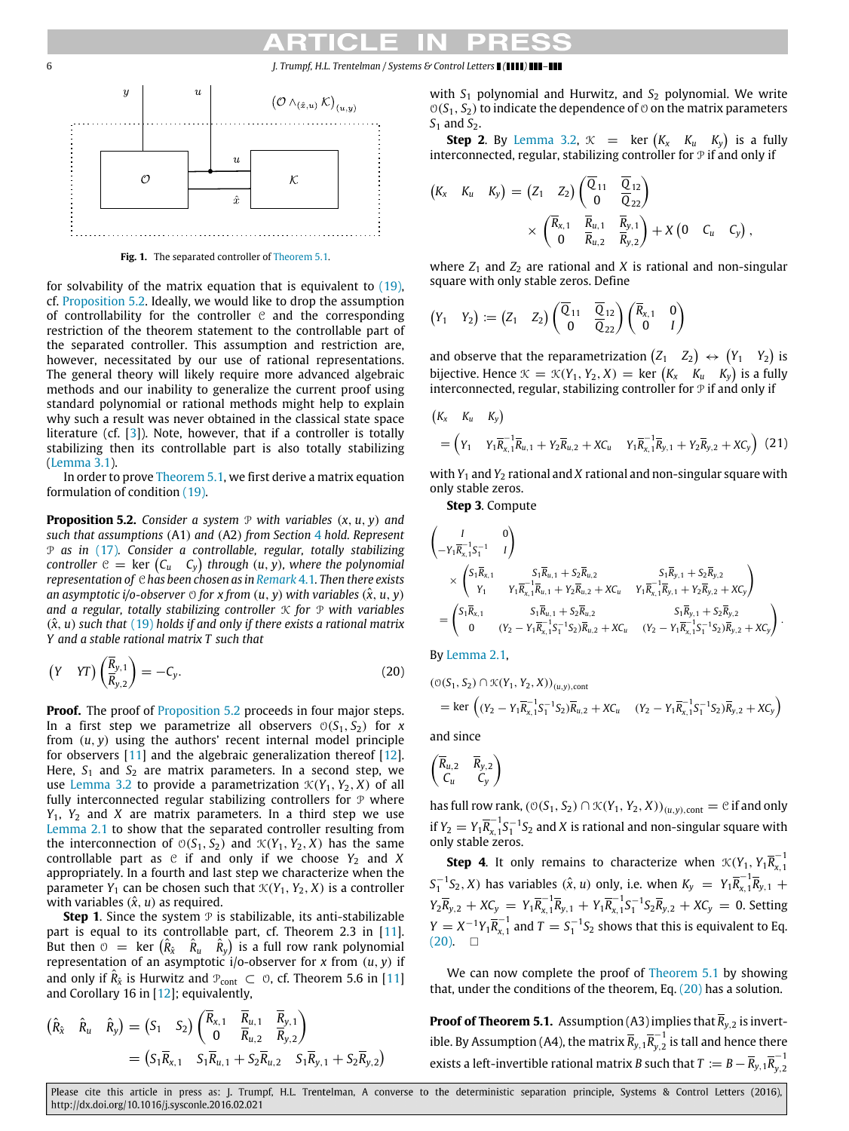<span id="page-5-1"></span>

**Fig. 1.** The separated controller of [Theorem 5.1.](#page-4-3)

for solvability of the matrix equation that is equivalent to [\(19\),](#page-4-4) cf. [Proposition 5.2.](#page-5-0) Ideally, we would like to drop the assumption of controllability for the controller  $C$  and the corresponding restriction of the theorem statement to the controllable part of the separated controller. This assumption and restriction are, however, necessitated by our use of rational representations. The general theory will likely require more advanced algebraic methods and our inability to generalize the current proof using standard polynomial or rational methods might help to explain why such a result was never obtained in the classical state space literature (cf. [\[3\]](#page-7-2)). Note, however, that if a controller is totally stabilizing then its controllable part is also totally stabilizing [\(Lemma 3.1\)](#page-3-3).

In order to prove [Theorem 5.1,](#page-4-3) we first derive a matrix equation formulation of condition [\(19\).](#page-4-4)

<span id="page-5-0"></span>**Proposition 5.2.** *Consider a system*  $P$  *with variables*  $(x, u, y)$  *and such that assumptions* (A1) *and* (A2) *from Section* [4](#page-4-0) *hold. Represent* P *as in* [\(17\)](#page-4-2)*. Consider a controllable, regular, totally stabilizing*  $\mathcal{C}$  *controller*  $\mathcal{C} = \mathsf{ker} \left( \mathcal{C}_u \cap \mathcal{C}_y \right)$  through  $(u, y)$ , where the polynomial *representation of* C *has been chosen as in [Remark](#page-4-5)* 4.1*. Then there exists an asymptotic i/o-observer*  $\circ$  *for x from*  $(u, y)$  *with variables*  $(\hat{x}, u, y)$ *and a regular, totally stabilizing controller* K *for* P *with variables*  $(\hat{x}, u)$  *such that* [\(19\)](#page-4-4) *holds if and only if there exists a rational matrix Y and a stable rational matrix T such that*

$$
\left(Y \quad \text{YT}\right)\left(\frac{\overline{R}_{y,1}}{R_{y,2}}\right) = -C_y. \tag{20}
$$

**Proof.** The proof of **[Proposition 5.2](#page-5-0)** proceeds in four major steps. In a first step we parametrize all observers  $O(S_1, S_2)$  for *x* from (*u*, *y*) using the authors' recent internal model principle for observers [\[11\]](#page-7-11) and the algebraic generalization thereof [\[12\]](#page-7-12). Here,  $S_1$  and  $S_2$  are matrix parameters. In a second step, we use [Lemma 3.2](#page-3-4) to provide a parametrization  $\mathcal{K}(Y_1, Y_2, X)$  of all fully interconnected regular stabilizing controllers for  $P$  where *Y*1, *Y*<sup>2</sup> and *X* are matrix parameters. In a third step we use [Lemma 2.1](#page-1-4) to show that the separated controller resulting from the interconnection of  $O(S_1, S_2)$  and  $K(Y_1, Y_2, X)$  has the same controllable part as  $C$  if and only if we choose  $Y_2$  and  $X$ appropriately. In a fourth and last step we characterize when the parameter  $Y_1$  can be chosen such that  $\mathcal{K}(Y_1, Y_2, X)$  is a controller with variables  $(\hat{x}, u)$  as required.

**Step 1.** Since the system  $P$  is stabilizable, its anti-stabilizable part is equal to its controllable part, cf. Theorem 2.3 in [\[11\]](#page-7-11). But then  $\hat{O}$  = ker  $(\hat{R}_{\hat{x}} \quad \hat{R}_{u} \quad \hat{R}_{y})$  is a full row rank polynomial representation of an asymptotic i/o-observer for *x* from (*u*, *y*) if and only if  $\hat{R}_{\hat{x}}$  is Hurwitz and  $\mathcal{P}_{\text{cont}} \subset \mathcal{O}$ , cf. Theorem 5.6 in [\[11\]](#page-7-11) and Corollary 16 in [\[12\]](#page-7-12); equivalently,

$$
(\hat{R}_{\hat{x}} \quad \hat{R}_{u} \quad \hat{R}_{y}) = (S_1 \quad S_2) \begin{pmatrix} \overline{R}_{x,1} & \overline{R}_{u,1} & \overline{R}_{y,1} \\ 0 & \overline{R}_{u,2} & \overline{R}_{y,2} \end{pmatrix}
$$
  
=  $(S_1 \overline{R}_{x,1} \quad S_1 \overline{R}_{u,1} + S_2 \overline{R}_{u,2} \quad S_1 \overline{R}_{y,1} + S_2 \overline{R}_{y,2})$ 

with  $S_1$  polynomial and Hurwitz, and  $S_2$  polynomial. We write  $O(S_1, S_2)$  to indicate the dependence of  $O$  on the matrix parameters *S*<sup>1</sup> and *S*<sup>2</sup>.

**Step 2.** By [Lemma 3.2,](#page-3-4)  $\mathcal{K}$  = ker  $(K_x \ K_u \ K_y)$  is a fully interconnected, regular, stabilizing controller for  $\mathcal P$  if and only if

$$
(K_x K_u K_y) = (Z_1 Z_2) \begin{pmatrix} \overline{Q}_{11} & \overline{Q}_{12} \\ 0 & \overline{Q}_{22} \end{pmatrix}
$$
  
 
$$
\times \begin{pmatrix} \overline{R}_{x,1} & \overline{R}_{u,1} & \overline{R}_{y,1} \\ 0 & \overline{R}_{u,2} & \overline{R}_{y,2} \end{pmatrix} + X (0 C_u C_y),
$$

where  $Z_1$  and  $Z_2$  are rational and *X* is rational and non-singular square with only stable zeros. Define

$$
(Y_1 \quad Y_2) := (Z_1 \quad Z_2) \begin{pmatrix} \overline{Q}_{11} & \overline{Q}_{12} \\ 0 & \overline{Q}_{22} \end{pmatrix} \begin{pmatrix} \overline{R}_{x,1} & 0 \\ 0 & I \end{pmatrix}
$$

and observe that the reparametrization  $(Z_1 \t Z_2) \leftrightarrow (Y_1 \t Y_2)$  is bijective. Hence  $\mathcal{K} = \mathcal{K}(Y_1, Y_2, X) = \text{ker}(K_x \mid K_y \mid K_y)$  is a fully interconnected, regular, stabilizing controller for  $P$  if and only if

$$
\begin{aligned} &(K_x \quad K_u \quad K_y) \\ &= \left(Y_1 \quad Y_1 \overline{R}_{x,1}^{-1} \overline{R}_{u,1} + Y_2 \overline{R}_{u,2} + X C_u \quad Y_1 \overline{R}_{x,1}^{-1} \overline{R}_{y,1} + Y_2 \overline{R}_{y,2} + X C_y \right) \end{aligned} \tag{21}
$$

with *Y*<sup>1</sup> and *Y*<sup>2</sup> rational and *X* rational and non-singular square with only stable zeros.

<span id="page-5-3"></span>**Step 3**. Compute

$$
\begin{aligned}&\begin{pmatrix}I&0\\-Y_{1}\overline{R}_{x_{1}}^{1}S_{1}^{-1}&I\end{pmatrix}\\&\times\begin{pmatrix}S_{1}\overline{R}_{x_{1}}1&S_{1}\overline{R}_{u_{1}}+S_{2}\overline{R}_{u_{2}}\\Y_{1}&Y_{1}\overline{R}_{x_{1}}^{-1}\overline{R}_{u_{1}}+Y_{2}\overline{R}_{u_{2}}+X C_{u}&Y_{1}\overline{R}_{x_{1}}^{-1}\overline{R}_{y_{1}}+Y_{2}\overline{R}_{y_{2}}+X C_{y}\end{pmatrix}\\&=\begin{pmatrix}S_{1}\overline{R}_{x_{1}}1&S_{1}\overline{R}_{u_{1}}+S_{2}\overline{R}_{u_{2}}\\0&(Y_{2}-Y_{1}\overline{R}_{x_{1}}^{-1}S_{1}^{-1}S_{2})\overline{R}_{u_{2}}+X C_{u}&(Y_{2}-Y_{1}\overline{R}_{x_{1}}^{-1}S_{1}^{-1}S_{2})\overline{R}_{y_{2}}+X C_{y}\end{pmatrix}.\end{aligned}
$$

<span id="page-5-2"></span>By [Lemma 2.1,](#page-1-4)

$$
\begin{aligned} & ( \text{\tiny{O}}(S_1,S_2) \cap \text{\tiny{K}}(Y_1,Y_2,X))_{(u,y),\text{cont}} \\ & = \text{ker} \left( (Y_2 - Y_1 \overline{R}_{x,1}^{-1} S_1^{-1} S_2) \overline{R}_{u,2} + X C_u \quad (Y_2 - Y_1 \overline{R}_{x,1}^{-1} S_1^{-1} S_2) \overline{R}_{y,2} + X C_y \right) \end{aligned}
$$

and since

$$
\begin{pmatrix} \overline{R}_{u,2} & \overline{R}_{y,2} \\ C_u & C_y \end{pmatrix}
$$

has full row rank,  $(\mathcal{O}(S_1, S_2) \cap \mathcal{K}(Y_1, Y_2, X))_{(u,y), \text{cont}} = \mathcal{C}$  if and only if  $Y_2 = Y_1 \overline{R}_{x,1}^{-1}$  $\frac{x-1}{x-1}S_1^{-1}S_2$  and *X* is rational and non-singular square with only stable zeros.

**Step 4.** It only remains to characterize when  $\mathcal{K}(Y_1, Y_1 \overline{R}_{\overline{X}_1}^{-1})$ *x*,1  $S_1^{-1}S_2$ , *X*) has variables  $(\hat{x}, u)$  only, i.e. when  $K_y = Y_1 \overline{R}_{x,1}^{-1}$  $E_{x, 1}^{-1} \overline{R}_{y, 1} +$  $Y_2 \overline{R}_{y,2} + X C_y = Y_1 \overline{R}_{x,1}^{-1}$  $\overline{R}_{x,1}^{-1}$  $\overline{R}_{y,1}$  +  $Y_1$  $\overline{R}_{x,1}^{-1}$  $\overline{X}_{x,1}^{-1}S_1^{-1}S_2\overline{R}_{y,2} + XC_y = 0$ . Setting *Y* =  $X^{-1}Y_1\overline{R}_{x,1}^{-1}$  $S_{\alpha,1}^{(-1)}$  and  $T=S_1^{-1}S_2$  shows that this is equivalent to Eq.  $(20)$ .  $\Box$ 

We can now complete the proof of [Theorem 5.1](#page-4-3) by showing that, under the conditions of the theorem, Eq.  $(20)$  has a solution.

**Proof of Theorem 5.1.** Assumption (A3) implies that  $\overline{R}_{y,2}$  is invertible. By Assumption (A4), the matrix  $\overline{R}_{y,1}\overline{R}_{y,2}^{-1}$  $f_{y,2}$  is tall and hence there exists a left-invertible rational matrix *B* such that  $T := B - \overline{R}_{y,1}\overline{R}_{y,2}^{-1}$ *y*,2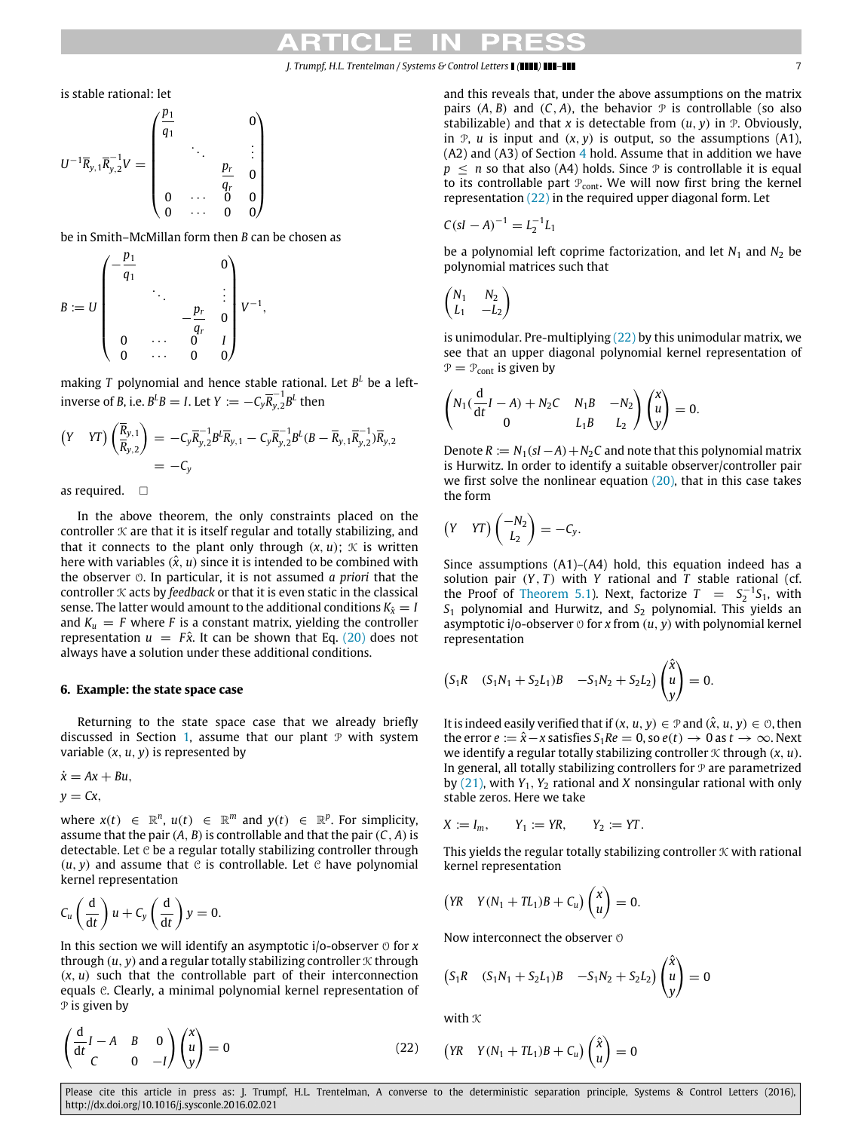is stable rational: let

*p*<sub>11</sub>

$$
U^{-1}\overline{R}_{y,1}\overline{R}_{y,2}^{-1}V = \begin{pmatrix} \frac{p_1}{q_1} & & & 0 \\ & \ddots & & \vdots \\ & & \frac{p_r}{q_r} & 0 \\ 0 & \cdots & 0 & 0 \\ 0 & \cdots & 0 & 0 \end{pmatrix}
$$

be in Smith–McMillan form then *B* can be chosen as

$$
B := U \begin{pmatrix} -\frac{p_1}{q_1} & & & 0 \\ & \ddots & & \vdots \\ & & -\frac{p_r}{q_r} & 0 \\ 0 & \cdots & 0 & 1 \\ 0 & \cdots & 0 & 0 \end{pmatrix} V^{-1},
$$

making *T* polynomial and hence stable rational. Let *B <sup>L</sup>* be a leftinverse of *B*, i.e.  $B^L B = I$ . Let  $Y := -C_y \overline{R}_{y,2}^{-1}$  $\int_{y,2}^{-1} B^L$  then

$$
(Y \quad \text{YT}) \left( \frac{\overline{R}_{y,1}}{\overline{R}_{y,2}} \right) = -C_y \overline{R}_{y,2}^{-1} B^L \overline{R}_{y,1} - C_y \overline{R}_{y,2}^{-1} B^L (B - \overline{R}_{y,1} \overline{R}_{y,2}^{-1}) \overline{R}_{y,2}
$$
\n
$$
= -C_y
$$

as required.  $\square$ 

In the above theorem, the only constraints placed on the controller  $K$  are that it is itself regular and totally stabilizing, and that it connects to the plant only through  $(x, u)$ ;  $\mathcal K$  is written here with variables  $(\hat{x}, u)$  since it is intended to be combined with the observer O. In particular, it is not assumed *a priori* that the controller  $K$  acts by *feedback* or that it is even static in the classical sense. The latter would amount to the additional conditions  $K_{\hat{x}} = I$ and  $K_u = F$  where *F* is a constant matrix, yielding the controller representation  $u = F\hat{x}$ . It can be shown that Eq. [\(20\)](#page-5-2) does not always have a solution under these additional conditions.

# <span id="page-6-0"></span>**6. Example: the state space case**

Returning to the state space case that we already briefly discussed in Section [1,](#page-0-6) assume that our plant  $P$  with system variable (*x*, *u*, *y*) is represented by

$$
\dot{x}=Ax+Bu,
$$

$$
y=Cx,
$$

where  $x(t) \in \mathbb{R}^n$ ,  $u(t) \in \mathbb{R}^m$  and  $y(t) \in \mathbb{R}^p$ . For simplicity, assume that the pair  $(A, B)$  is controllable and that the pair  $(C, A)$  is detectable. Let  $e$  be a regular totally stabilizing controller through  $(u, y)$  and assume that  $\mathfrak C$  is controllable. Let  $\mathfrak C$  have polynomial kernel representation

$$
C_u\left(\frac{\mathrm{d}}{\mathrm{d}t}\right)u + C_y\left(\frac{\mathrm{d}}{\mathrm{d}t}\right)y = 0.
$$

In this section we will identify an asymptotic  $i$ /o-observer  $\circ$  for  $x$ through  $(u, y)$  and a regular totally stabilizing controller  $\mathcal K$  through  $(x, u)$  such that the controllable part of their interconnection equals C. Clearly, a minimal polynomial kernel representation of P is given by

$$
\begin{pmatrix}\n d & I & A & B & 0 \\
 dt & C & 0 & -I\n\end{pmatrix}\n\begin{pmatrix}\n x \\
 u \\
 y\n\end{pmatrix} = 0
$$
\n(22)

and this reveals that, under the above assumptions on the matrix pairs  $(A, B)$  and  $(C, A)$ , the behavior  $\mathcal P$  is controllable (so also stabilizable) and that *x* is detectable from  $(u, v)$  in  $\mathcal{P}$ . Obviously, in  $P$ , *u* is input and  $(x, y)$  is output, so the assumptions  $(A1)$ ,  $(A2)$  and  $(A3)$  of Section [4](#page-4-0) hold. Assume that in addition we have  $p \leq n$  so that also (A4) holds. Since  $\mathcal P$  is controllable it is equal to its controllable part  $P_{\text{cont}}$ . We will now first bring the kernel representation [\(22\)](#page-6-1) in the required upper diagonal form. Let

$$
C(sI - A)^{-1} = L_2^{-1}L_1
$$

be a polynomial left coprime factorization, and let  $N_1$  and  $N_2$  be polynomial matrices such that

$$
\begin{pmatrix} N_1 & N_2 \ L_1 & -L_2 \end{pmatrix}
$$

is unimodular. Pre-multiplying [\(22\)](#page-6-1) by this unimodular matrix, we see that an upper diagonal polynomial kernel representation of  $P = P_{\text{cont}}$  is given by

$$
\begin{pmatrix} N_1(\frac{d}{dt}I-A) + N_2C & N_1B & -N_2 \ 0 & L_1B & L_2 \end{pmatrix} \begin{pmatrix} x \ u \ y \end{pmatrix} = 0.
$$

Denote  $R := N_1(sI - A) + N_2C$  and note that this polynomial matrix is Hurwitz. In order to identify a suitable observer/controller pair we first solve the nonlinear equation  $(20)$ , that in this case takes the form

$$
(Y \quad \text{YT})\begin{pmatrix} -N_2 \\ L_2 \end{pmatrix} = -C_y.
$$

Since assumptions (A1)–(A4) hold, this equation indeed has a solution pair  $(Y, T)$  with  $Y$  rational and  $T$  stable rational (cf. the Proof of [Theorem 5.1\)](#page-4-3). Next, factorize  $T = S_2^{-1}S_1$ , with *S*<sup>1</sup> polynomial and Hurwitz, and *S*<sup>2</sup> polynomial. This yields an asymptotic i/o-observer  $\circ$  for *x* from  $(u, y)$  with polynomial kernel representation

$$
(S_1R
$$
  $(S_1N_1 + S_2L_1)B$   $-S_1N_2 + S_2L_2$  $\begin{pmatrix} \hat{x} \\ u \\ y \end{pmatrix} = 0.$ 

It is indeed easily verified that if  $(x, u, y) \in \mathcal{P}$  and  $(\hat{x}, u, y) \in \mathcal{O}$ , then the error  $e := \hat{x} - x$  satisfies  $S_1 Re = 0$ , so  $e(t) \rightarrow 0$  as  $t \rightarrow \infty$ . Next we identify a regular totally stabilizing controller  $K$  through  $(x, u)$ . In general, all totally stabilizing controllers for  $P$  are parametrized by [\(21\),](#page-5-3) with *Y*1, *Y*<sup>2</sup> rational and *X* nonsingular rational with only stable zeros. Here we take

$$
X := I_m, \qquad Y_1 := YR, \qquad Y_2 := YT.
$$

This yields the regular totally stabilizing controller  $K$  with rational kernel representation

$$
(YR \tY(N_1 + TL_1)B + C_u) \begin{pmatrix} x \\ u \end{pmatrix} = 0.
$$

Now interconnect the observer  $\odot$ 

$$
(S_1R
$$
  $(S_1N_1 + S_2L_1)B$   $-S_1N_2 + S_2L_2$  $\begin{pmatrix} \hat{x} \\ u \\ y \end{pmatrix} = 0$ 

with  $K$ 

<span id="page-6-1"></span>
$$
\begin{pmatrix} YR & Y(N_1 + TL_1)B + C_u \end{pmatrix} \begin{pmatrix} \hat{x} \\ u \end{pmatrix} = 0
$$